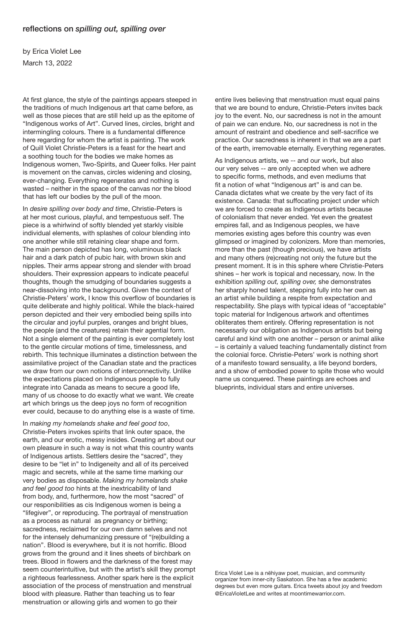## reflections on *spilling out, spilling over*

by Erica Violet Lee March 13, 2022

At first glance, the style of the paintings appears steeped in the traditions of much Indigenous art that came before, as well as those pieces that are still held up as the epitome of "Indigenous works of Art". Curved lines, circles, bright and intermingling colours. There is a fundamental difference here regarding for whom the artist is painting. The work of Quill Violet Christie-Peters is a feast for the heart and a soothing touch for the bodies we make homes as Indigenous women, Two-Spirits, and Queer folks. Her paint is movement on the canvas, circles widening and closing, ever-changing. Everything regenerates and nothing is wasted – neither in the space of the canvas nor the blood that has left our bodies by the pull of the moon.

In *desire spilling over body and time*, Christie-Peters is at her most curious, playful, and tempestuous self. The piece is a whirlwind of softly blended yet starkly visible individual elements, with splashes of colour blending into one another while still retaining clear shape and form. The main person depicted has long, voluminous black hair and a dark patch of pubic hair, with brown skin and nipples. Their arms appear strong and slender with broad shoulders. Their expression appears to indicate peaceful thoughts, though the smudging of boundaries suggests a near-dissolving into the background. Given the context of Christie-Peters' work, I know this overflow of boundaries is quite deliberate and highly political. While the black-haired person depicted and their very embodied being spills into the circular and joyful purples, oranges and bright blues, the people (and the creatures) retain their agential form. Not a single element of the painting is ever completely lost to the gentle circular motions of time, timelessness, and rebirth. This technique illuminates a distinction between the assimilative project of the Canadian state and the practices we draw from our own notions of interconnectivity. Unlike the expectations placed on Indigenous people to fully integrate into Canada as means to secure a good life, many of us choose to do exactly what we want. We create art which brings us the deep joys no form of recognition ever could, because to do anything else is a waste of time.

In *making my homelands shake and feel good too*, Christie-Peters invokes spirits that link outer space, the earth, and our erotic, messy insides. Creating art about our own pleasure in such a way is not what this country wants of Indigenous artists. Settlers desire the "sacred", they

desire to be "let in" to Indigeneity and all of its perceived magic and secrets, while at the same time marking our very bodies as disposable. *Making my homelands shake and feel good too* hints at the inextricability of land from body, and, furthermore, how the most "sacred" of our responibilities as cis Indigenous women is being a "lifegiver", or reproducing. The portrayal of menstruation as a process as natural as pregnancy or birthing; sacredness, reclaimed for our own damn selves and not for the intensely dehumanizing pressure of "(re)building a nation". Blood is everywhere, but it is not horrific. Blood grows from the ground and it lines sheets of birchbark on trees. Blood in flowers and the darkness of the forest may seem counterintuitive, but with the artist's skill they prompt a righteous fearlessness. Another spark here is the explicit association of the process of menstruation and menstrual blood with pleasure. Rather than teaching us to fear menstruation or allowing girls and women to go their

entire lives believing that menstruation must equal pains that we are bound to endure, Christie-Peters invites back joy to the event. No, our sacredness is not in the amount of pain we can endure. No, our sacredness is not in the amount of restraint and obedience and self-sacrifice we practice. Our sacredness is inherent in that we are a part of the earth, irremovable eternally. Everything regenerates.

As Indigenous artists, we -- and our work, but also our very selves -- are only accepted when we adhere to specific forms, methods, and even mediums that fit a notion of what "Indigenous art" is and can be. Canada dictates what we create by the very fact of its existence. Canada: that suffocating project under which we are forced to create as Indigenous artists because of colonialism that never ended. Yet even the greatest empires fall, and as Indigenous peoples, we have memories existing ages before this country was even glimpsed or imagined by colonizers. More than memories, more than the past (though precious), we have artists and many others (re)creating not only the future but the present moment. It is in this sphere where Christie-Peters shines – her work is topical and necessary, now. In the exhibition *spilling out, spilling over,* she demonstrates her sharply honed talent, stepping fully into her own as an artist while building a respite from expectation and respectability. She plays with typical ideas of "acceptable" topic material for Indigenous artwork and oftentimes obliterates them entirely. Offering representation is not necessarily our obligation as Indigenous artists but being careful and kind with one another – person or animal alike – is certainly a valued teaching fundamentally distinct from the colonial force. Christie-Peters' work is nothing short of a manifesto toward sensuality, a life beyond borders, and a show of embodied power to spite those who would name us conquered. These paintings are echoes and blueprints, individual stars and entire universes.

Erica Violet Lee is a nēhiyaw poet, musician, and community organizer from inner-city Saskatoon. She has a few academic degrees but even more guitars. Erica tweets about joy and freedom @EricaVioletLee and writes at moontimewarrior.com.